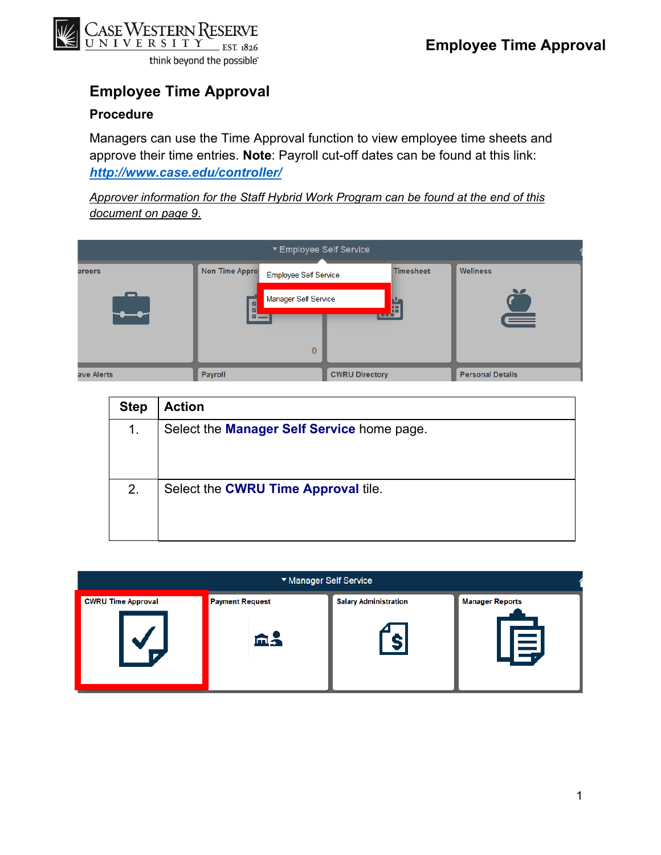

## **Employee Time Approval**

## **Procedure**

Managers can use the Time Approval function to view employee time sheets and approve their time entries. **Note**: Payroll cut-off dates can be found at this link: *http://www.case.edu/controller/* 

*Approver information for the Staff Hybrid Work Program can be found at the end of this document on page 9*.

|            | ▼ Employee Self Service                               |                       |                         |
|------------|-------------------------------------------------------|-----------------------|-------------------------|
| areers     | <b>Non Time Appro</b><br><b>Employee Self Service</b> | <b>Timesheet</b>      | Wellness                |
| - 1        | <b>Manager Self Service</b><br>$\mathbf{z}$<br>$=$    | Ë                     | $\equiv$                |
| ave Alerts | Payroll                                               | <b>CWRU Directory</b> | <b>Personal Details</b> |

| <b>Step</b> | <b>Action</b>                                     |
|-------------|---------------------------------------------------|
| 1.          | Select the <b>Manager Self Service</b> home page. |
| 2.          | Select the <b>CWRU Time Approval tile.</b>        |

|                           | ▼ Manager Self Service       |                              |                             |
|---------------------------|------------------------------|------------------------------|-----------------------------|
| <b>CWRU Time Approval</b> | <b>Payment Request</b><br>m. | <b>Salary Administration</b> | <b>Manager Reports</b><br>三 |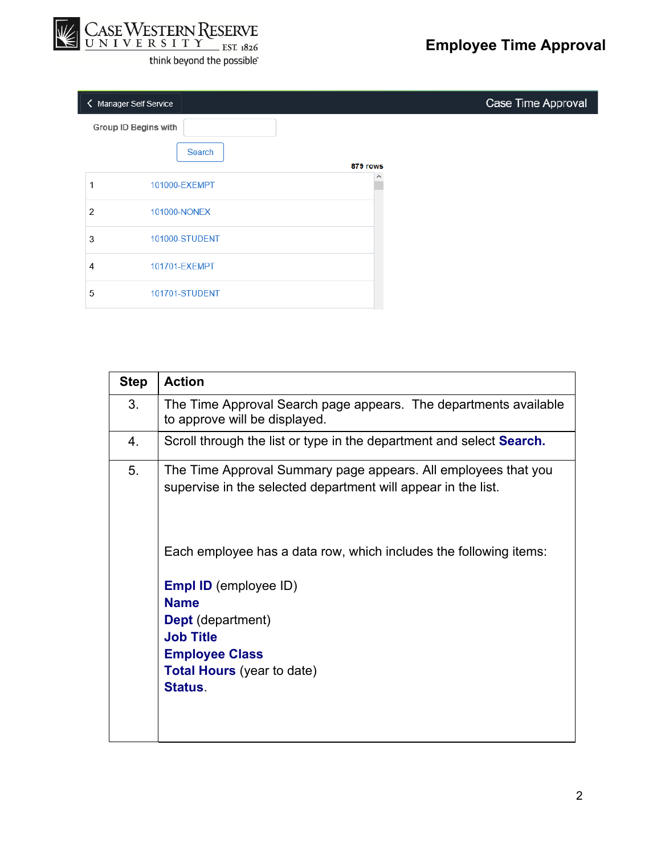

| K Manager Self Service     |          | Case Time Approval |
|----------------------------|----------|--------------------|
| Group ID Begins with       |          |                    |
| Search                     |          |                    |
|                            | 879 rows |                    |
| 101000-EXEMPT              |          |                    |
|                            |          |                    |
| 2<br>101000-NONEX          |          |                    |
| 101000-STUDENT<br>3        |          |                    |
|                            |          |                    |
| 101701-EXEMPT<br>4         |          |                    |
| 5<br><b>101701-STUDENT</b> |          |                    |
|                            |          |                    |

| <b>Step</b> | <b>Action</b>                                                                                                                                                        |
|-------------|----------------------------------------------------------------------------------------------------------------------------------------------------------------------|
| 3.          | The Time Approval Search page appears. The departments available<br>to approve will be displayed.                                                                    |
| 4.          | Scroll through the list or type in the department and select <b>Search.</b>                                                                                          |
| 5.          | The Time Approval Summary page appears. All employees that you<br>supervise in the selected department will appear in the list.                                      |
|             | Each employee has a data row, which includes the following items:                                                                                                    |
|             | <b>Empl ID</b> (employee ID)<br><b>Name</b><br><b>Dept</b> (department)<br><b>Job Title</b><br><b>Employee Class</b><br><b>Total Hours</b> (year to date)<br>Status. |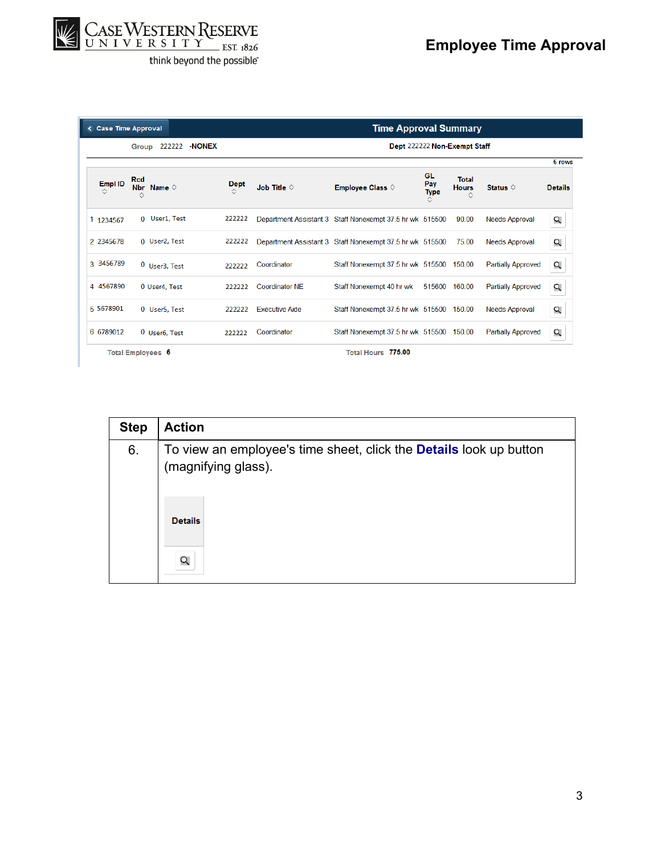

| 222222<br>Group                   |                  |                       |                           |                          |                                                                                                                      |                                                                                                                                     |                              |
|-----------------------------------|------------------|-----------------------|---------------------------|--------------------------|----------------------------------------------------------------------------------------------------------------------|-------------------------------------------------------------------------------------------------------------------------------------|------------------------------|
| <b>Rcd</b><br>Nbr Name $\diamond$ | <b>Dept</b><br>☆ | Job Title $\Diamond$  | Employee Class $\diamond$ | GL<br>Pay<br><b>Type</b> | <b>Total</b><br><b>Hours</b><br>≎                                                                                    | Status $\diamond$                                                                                                                   | 6 rows<br><b>Details</b>     |
| 0 User1, Test                     | 222222           |                       |                           |                          | 90.00                                                                                                                | <b>Needs Approval</b>                                                                                                               | Q                            |
| 0 User2, Test                     | 222222           |                       |                           |                          | 75.00                                                                                                                | <b>Needs Approval</b>                                                                                                               | Q                            |
| $0$ User3, Test                   | 222222           | Coordinator           |                           |                          | 150.00                                                                                                               | <b>Partially Approved</b>                                                                                                           | Q                            |
| 0 User4. Test                     | 222222           | <b>Coordinator NE</b> | Staff Nonexempt 40 hr wk  |                          | 160.00                                                                                                               | <b>Partially Approved</b>                                                                                                           | Q                            |
| 0 User5, Test                     | 222222           | <b>Executive Aide</b> |                           |                          |                                                                                                                      | <b>Needs Approval</b>                                                                                                               | Q                            |
| 0 User6, Test                     | 222222           | Coordinator           |                           |                          |                                                                                                                      | <b>Partially Approved</b>                                                                                                           | Q                            |
|                                   |                  | <b>NONEX</b>          |                           |                          | Department Assistant 3 Staff Nonexempt 37.5 hr wk 515500<br>Department Assistant 3 Staff Nonexempt 37.5 hr wk 515500 | Staff Nonexempt 37.5 hr wk 515500<br>515600<br>Staff Nonexempt 37.5 hr wk 515500 150.00<br>Staff Nonexempt 37.5 hr wk 515500 150.00 | Dept 222222 Non-Exempt Staff |

| <b>Step</b> | <b>Action</b>                                                                                    |
|-------------|--------------------------------------------------------------------------------------------------|
| 6.          | To view an employee's time sheet, click the <b>Details</b> look up button<br>(magnifying glass). |
|             | <b>Details</b>                                                                                   |
|             | Q                                                                                                |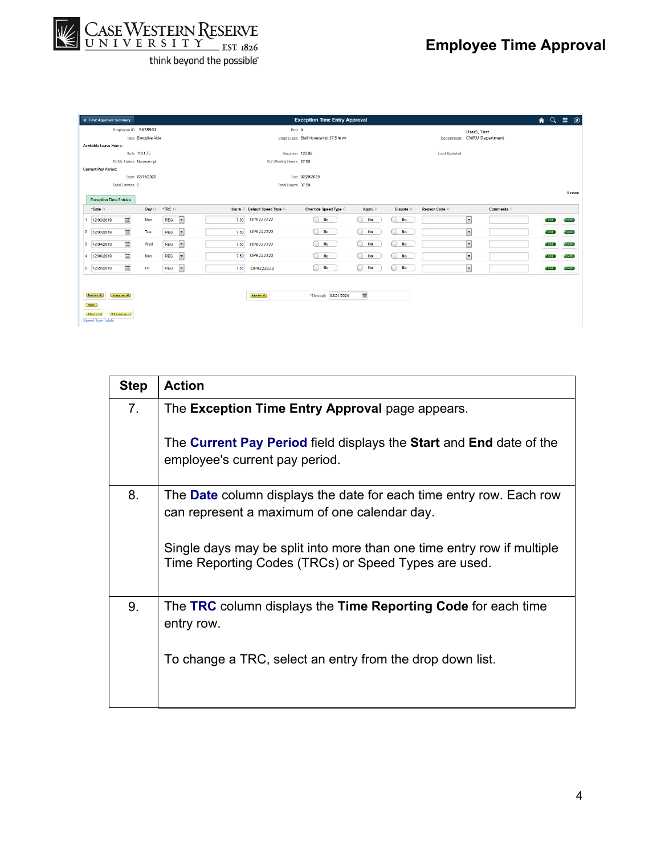

| <b>&lt; Time Approval Summary</b>                                                                                    |                                        |                              | <b>Exception Time Entry Approval</b>           |                           |           |                     |                                           |                  | $\land$ $\alpha$ $\equiv$ $\circ$ |
|----------------------------------------------------------------------------------------------------------------------|----------------------------------------|------------------------------|------------------------------------------------|---------------------------|-----------|---------------------|-------------------------------------------|------------------|-----------------------------------|
| Employee ID 5678901<br>Title Executive Aide                                                                          |                                        |                              | Rcd 0<br>Empl Class Staff Nonexempt 37.5 hr wk |                           |           |                     | User5, Test<br>Department CWRU Department |                  |                                   |
| <b>Available Leave Hours:</b>                                                                                        |                                        |                              |                                                |                           |           |                     |                                           |                  |                                   |
| Sick 1131.75                                                                                                         |                                        |                              | Vacation 120.88                                |                           |           | <b>Last Updated</b> |                                           |                  |                                   |
| <b>FLSA Status Nonexempt</b>                                                                                         |                                        |                              | Std Weekly Hours 37.50                         |                           |           |                     |                                           |                  |                                   |
| <b>Current Pay Period:</b>                                                                                           |                                        |                              |                                                |                           |           |                     |                                           |                  |                                   |
| Start 02/16/2020                                                                                                     |                                        |                              | End 02/29/2020                                 |                           |           |                     |                                           |                  |                                   |
| <b>Total Entries 5</b>                                                                                               |                                        |                              | Total Hours 37.50                              |                           |           |                     |                                           |                  |                                   |
| <b>Exception Time Entries</b>                                                                                        |                                        |                              |                                                |                           |           |                     |                                           |                  | 5 rows                            |
| Day $\circ$<br>*Date ©                                                                                               | *TRC ©                                 | Hours © Default Speed Type © | Override Speed Type $\diamond$                 | Apprv 0                   | Dispute o | Reason Code o       | Comments o                                |                  |                                   |
| $\widetilde{}$<br>Mon<br>12/02/2019<br>1                                                                             | $\overline{\phantom{a}}$<br><b>REG</b> | OPR222222<br>7.50            | <b>No</b>                                      | <b>No</b>                 | <b>No</b> |                     | $\boxed{\cdot}$                           | f Add            | Oelete)                           |
| $\overline{\mathbb{H}}$<br>$\overline{2}$<br>12/03/2019<br>Tue                                                       | I۰<br><b>REG</b>                       | OPR222222<br>7.50            | ∍<br><b>No</b>                                 | <b>No</b>                 | <b>No</b> |                     | $\overline{\phantom{a}}$                  | Add              | Oelete                            |
| $\widehat{\mathbb{H}}$<br>Wed<br>3<br>12/04/2019                                                                     | $\overline{\phantom{a}}$<br><b>REG</b> | 7.50<br>OPR222222            | <b>No</b><br>∋                                 | <b>No</b>                 | <b>No</b> |                     | $\overline{\phantom{0}}$                  | Add              | <b>Oelete</b>                     |
| $\overline{\Xi}$<br>12/09/2019<br>Mon<br>4                                                                           | $\overline{\phantom{a}}$<br><b>REG</b> | OPR222222<br>7.50            | <b>No</b><br>$\rightarrow$                     | <b>No</b>                 | <b>No</b> |                     | $\overline{\phantom{0}}$                  | ₹ Add            | Delete                            |
| $\overline{}$<br>Fri<br>5<br>12/20/2019                                                                              | $\overline{\phantom{a}}$<br><b>REG</b> | 7.50<br>OPR222222            | <b>No</b><br>$\Box$                            | <b>No</b>                 | <b>No</b> |                     | $\boxed{\mathbf{v}}$                      | Add <sup>-</sup> | Oelete)                           |
| <b>Approve all</b><br>Unapprove all<br>Save<br><b>+ Previous in List</b><br><b>+BNoctinList</b><br>Speed Type Totals |                                        | <b>Approve all</b>           | *Through 02/21/2020                            | $\overline{\mathbb{H}^2}$ |           |                     |                                           |                  |                                   |

| <b>Step</b>    | <b>Action</b>                                                                                                                  |
|----------------|--------------------------------------------------------------------------------------------------------------------------------|
| 7 <sub>1</sub> | The Exception Time Entry Approval page appears.                                                                                |
|                | The Current Pay Period field displays the Start and End date of the<br>employee's current pay period.                          |
| 8.             | The <b>Date</b> column displays the date for each time entry row. Each row<br>can represent a maximum of one calendar day.     |
|                | Single days may be split into more than one time entry row if multiple<br>Time Reporting Codes (TRCs) or Speed Types are used. |
| 9.             | The TRC column displays the Time Reporting Code for each time<br>entry row.                                                    |
|                | To change a TRC, select an entry from the drop down list.                                                                      |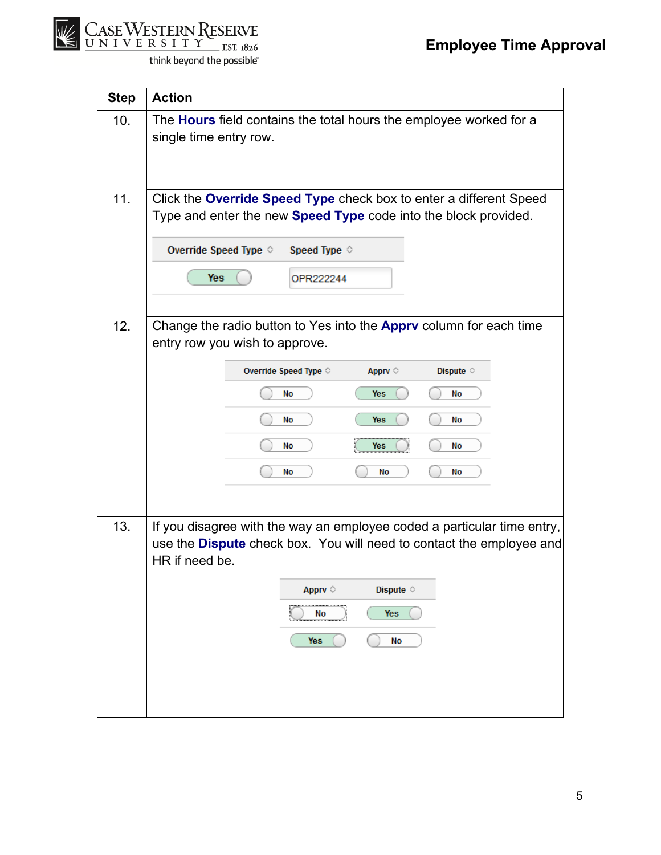

| <b>Step</b> | <b>Action</b>                                                                                                                                                     |
|-------------|-------------------------------------------------------------------------------------------------------------------------------------------------------------------|
| 10.         | The <b>Hours</b> field contains the total hours the employee worked for a<br>single time entry row.                                                               |
| 11.         | Click the Override Speed Type check box to enter a different Speed<br>Type and enter the new Speed Type code into the block provided.                             |
|             | Override Speed Type $\Diamond$<br>Speed Type $\Diamond$                                                                                                           |
|             | <b>Yes</b><br>OPR222244                                                                                                                                           |
| 12.         | Change the radio button to Yes into the <b>Appry</b> column for each time<br>entry row you wish to approve.                                                       |
|             | Dispute $\diamond$<br>Override Speed Type $\diamond$<br>Apprv 0                                                                                                   |
|             | No<br><b>Yes</b><br>No                                                                                                                                            |
|             | <b>Yes</b><br>No<br>No                                                                                                                                            |
|             | No<br>No<br>Yes                                                                                                                                                   |
|             | No<br>No<br>No                                                                                                                                                    |
|             |                                                                                                                                                                   |
| 13.         | If you disagree with the way an employee coded a particular time entry,<br>use the Dispute check box. You will need to contact the employee and<br>HR if need be. |
|             | Dispute $\diamond$<br>Apprv 0                                                                                                                                     |
|             | <b>Yes</b><br>No                                                                                                                                                  |
|             | <b>Yes</b><br>No                                                                                                                                                  |
|             |                                                                                                                                                                   |
|             |                                                                                                                                                                   |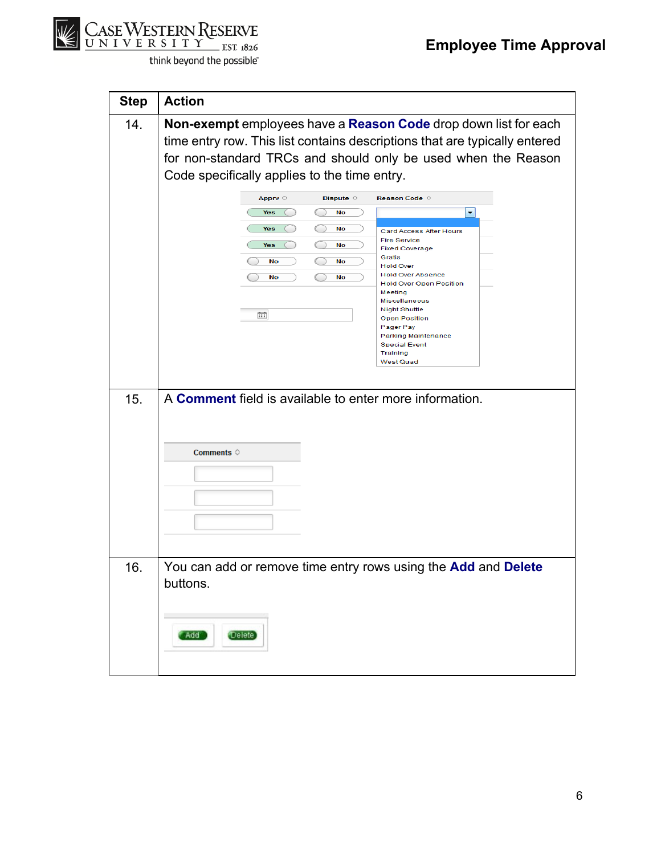

| <b>Step</b> | <b>Action</b>                                                                                                                                                                                                                                                  |
|-------------|----------------------------------------------------------------------------------------------------------------------------------------------------------------------------------------------------------------------------------------------------------------|
| 14.         | Non-exempt employees have a Reason Code drop down list for each<br>time entry row. This list contains descriptions that are typically entered<br>for non-standard TRCs and should only be used when the Reason<br>Code specifically applies to the time entry. |
|             | Dispute ©<br>Apprv $\heartsuit$<br>Reason Code ©                                                                                                                                                                                                               |
|             | Yes<br>No<br>٠                                                                                                                                                                                                                                                 |
|             | <b>Yes</b><br>No<br>Card Access After Hours<br><b>Fire Service</b>                                                                                                                                                                                             |
|             | <b>Yes</b><br>No<br><b>Fixed Coverage</b><br>Gratis                                                                                                                                                                                                            |
|             | No<br>No<br><b>Hold Over</b><br><b>Hold Over Absence</b>                                                                                                                                                                                                       |
|             | No<br>No<br><b>Hold Over Open Position</b><br>Meeting<br>Miscellaneous<br>Night Shuttle<br>面<br><b>Open Position</b><br>Pager Pay<br>Parking Maintenance<br><b>Special Event</b><br>Training<br><b>West Quad</b>                                               |
| 15.         | A <b>Comment</b> field is available to enter more information.                                                                                                                                                                                                 |
|             | <b>Comments ©</b>                                                                                                                                                                                                                                              |
|             |                                                                                                                                                                                                                                                                |
|             |                                                                                                                                                                                                                                                                |
| 16.         | You can add or remove time entry rows using the Add and Delete<br>buttons.                                                                                                                                                                                     |
|             | Add<br><b>Delete</b>                                                                                                                                                                                                                                           |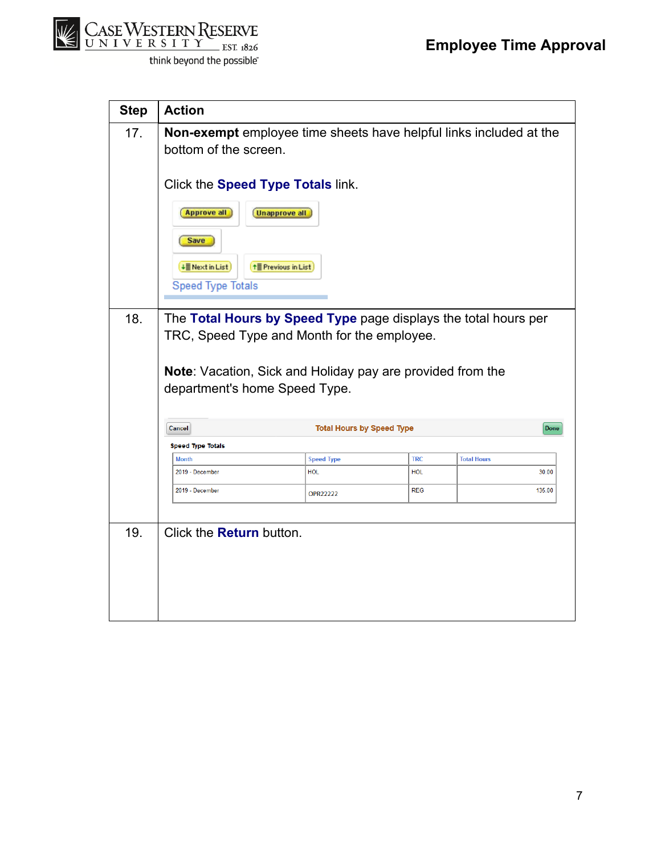

| <b>Step</b> | <b>Action</b>                                                                               |                                                                                                                |            |                    |        |  |
|-------------|---------------------------------------------------------------------------------------------|----------------------------------------------------------------------------------------------------------------|------------|--------------------|--------|--|
| 17.         | Non-exempt employee time sheets have helpful links included at the<br>bottom of the screen. |                                                                                                                |            |                    |        |  |
|             | Click the Speed Type Totals link.                                                           |                                                                                                                |            |                    |        |  |
|             | <b>Approve all</b>                                                                          | <b>Unapprove all</b>                                                                                           |            |                    |        |  |
|             | Save<br>↓ Next in List<br><b>Speed Type Totals</b>                                          | <b>↑ E</b> Previous in List                                                                                    |            |                    |        |  |
|             |                                                                                             | The Total Hours by Speed Type page displays the total hours per<br>TRC, Speed Type and Month for the employee. |            |                    |        |  |
|             | department's home Speed Type.                                                               | Note: Vacation, Sick and Holiday pay are provided from the                                                     |            |                    |        |  |
|             | Cancel                                                                                      | <b>Total Hours by Speed Type</b>                                                                               |            |                    | Done   |  |
|             | <b>Speed Type Totals</b>                                                                    |                                                                                                                |            |                    |        |  |
|             | <b>Month</b>                                                                                | <b>Speed Type</b>                                                                                              | <b>TRC</b> | <b>Total Hours</b> |        |  |
|             | 2019 - December                                                                             | <b>HOL</b>                                                                                                     | HOL.       |                    | 30.00  |  |
|             | 2019 - December                                                                             | <b>OPR22222</b>                                                                                                | <b>REG</b> |                    | 135.00 |  |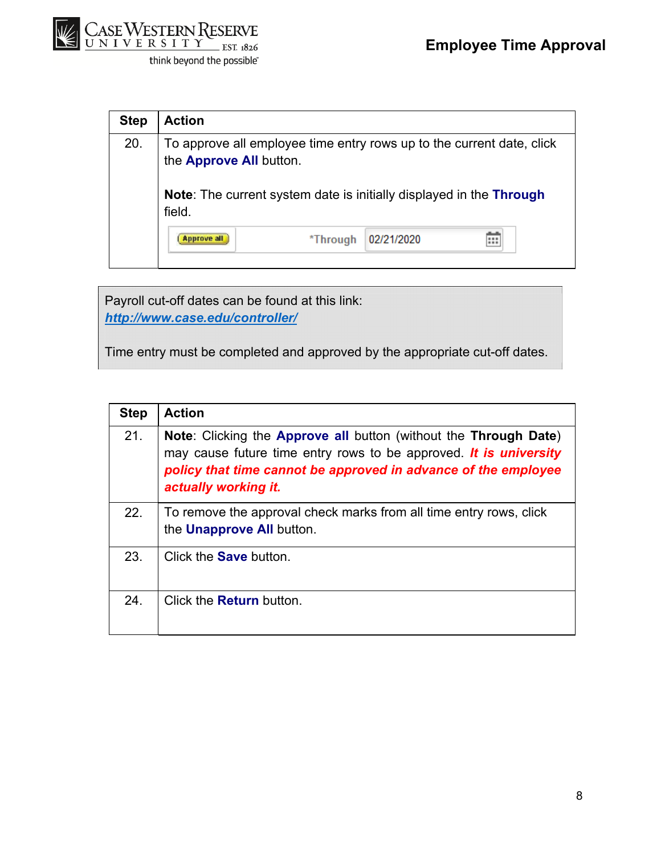

| <b>Step</b> | <b>Action</b>                                                                                    |            |  |  |  |
|-------------|--------------------------------------------------------------------------------------------------|------------|--|--|--|
| 20.         | To approve all employee time entry rows up to the current date, click<br>the Approve All button. |            |  |  |  |
|             | <b>Note:</b> The current system date is initially displayed in the <b>Through</b><br>field.      |            |  |  |  |
|             | <b>Approve all</b><br>*Through                                                                   | 02/21/2020 |  |  |  |
|             |                                                                                                  |            |  |  |  |

Payroll cut-off dates can be found at this link: *http://www.case.edu/controller/*

Time entry must be completed and approved by the appropriate cut-off dates.

| <b>Step</b> | <b>Action</b>                                                                                                                                                                                                                   |
|-------------|---------------------------------------------------------------------------------------------------------------------------------------------------------------------------------------------------------------------------------|
| 21.         | Note: Clicking the Approve all button (without the Through Date)<br>may cause future time entry rows to be approved. It is university<br>policy that time cannot be approved in advance of the employee<br>actually working it. |
| 22.         | To remove the approval check marks from all time entry rows, click<br>the <b>Unapprove All</b> button.                                                                                                                          |
| 23.         | Click the <b>Save</b> button.                                                                                                                                                                                                   |
| 24.         | Click the <b>Return</b> button.                                                                                                                                                                                                 |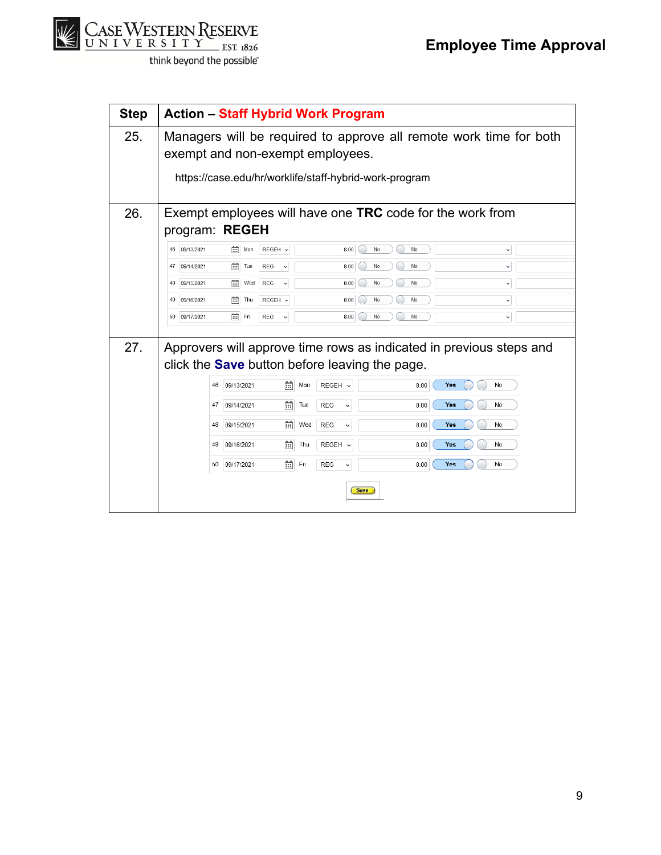

| <b>Step</b> | <b>Action - Staff Hybrid Work Program</b>                                                                                                                        |
|-------------|------------------------------------------------------------------------------------------------------------------------------------------------------------------|
| 25.         | Managers will be required to approve all remote work time for both<br>exempt and non-exempt employees.<br>https://case.edu/hr/worklife/staff-hybrid-work-program |
| 26.         | Exempt employees will have one TRC code for the work from<br>program: REGEH                                                                                      |
|             | 09/13/2021<br>崗<br>REGEH v<br>46<br>Mon<br>8.00<br>No<br>No<br>$\check{~}$                                                                                       |
|             | 09/14/2021<br>曲<br>REG<br>8.00<br>No<br>No<br>47<br>Tue<br>$\check{ }$<br>$\checkmark$                                                                           |
|             | 益<br>09/15/2021<br>Wed<br><b>REG</b><br>8.00<br>No<br>No<br>48<br>$\checkmark$<br>$\check{~}$                                                                    |
|             | 09/16/2021<br>崗<br>Thu<br>REGEH v<br>No<br>49<br>8.00<br>No<br>$\check{~}$                                                                                       |
|             | 09/17/2021<br>岡<br>Fri<br><b>REG</b><br>No<br>No<br>50<br>$\check{ }$<br>8.00<br>$\checkmark$                                                                    |
| 27.         | Approvers will approve time rows as indicated in previous steps and<br>click the <b>Save</b> button before leaving the page.                                     |
|             | REGEH v<br>09/13/2021<br>崗<br>8.00<br>46<br>Mon<br>Yes<br>No                                                                                                     |
|             | 崗<br>8.00<br>Yes<br>47<br>09/14/2021<br>Tue<br><b>REG</b><br>No<br>$\checkmark$                                                                                  |
|             | 崗<br><b>REG</b><br>Yes<br>09/15/2021<br>Wed<br>8.00<br>No<br>48<br>$\checkmark$                                                                                  |
|             | 崗<br>REGEH v<br>Yes<br>09/16/2021<br>Thu<br>8.00<br>No<br>49                                                                                                     |
|             | 筒<br>8.00<br>09/17/2021<br>Fri<br><b>REG</b><br>Yes<br>50<br>No<br>$\check{ }$                                                                                   |
|             | <b>Save</b>                                                                                                                                                      |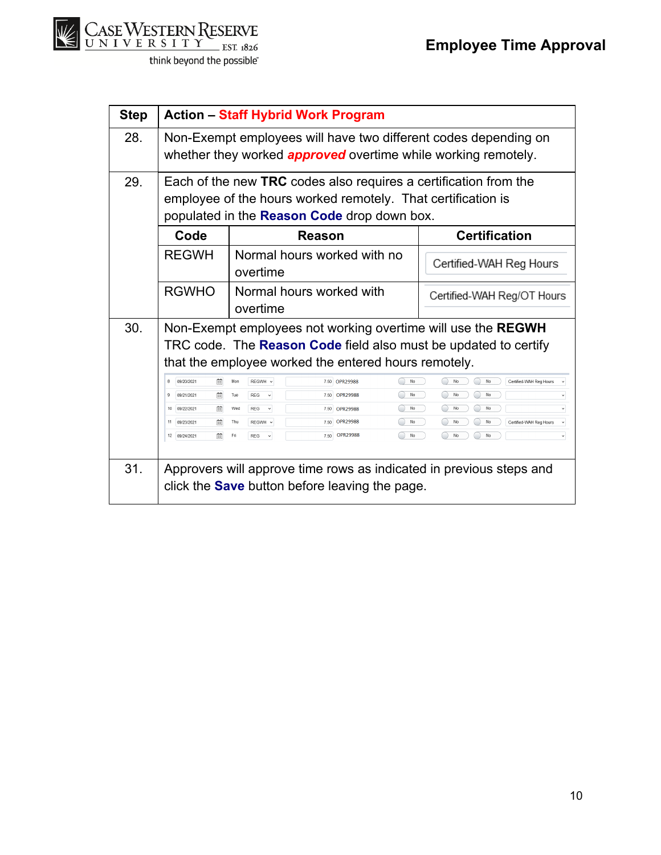

| <b>Step</b> | <b>Action – Staff Hybrid Work Program</b>                                                                                                                                       |                                                                                                                                         |                               |                                                                     |  |
|-------------|---------------------------------------------------------------------------------------------------------------------------------------------------------------------------------|-----------------------------------------------------------------------------------------------------------------------------------------|-------------------------------|---------------------------------------------------------------------|--|
| 28.         |                                                                                                                                                                                 | Non-Exempt employees will have two different codes depending on<br>whether they worked <b>approved</b> overtime while working remotely. |                               |                                                                     |  |
| 29.         | Each of the new TRC codes also requires a certification from the<br>employee of the hours worked remotely. That certification is<br>populated in the Reason Code drop down box. |                                                                                                                                         |                               |                                                                     |  |
|             | Code                                                                                                                                                                            | Reason                                                                                                                                  |                               | <b>Certification</b>                                                |  |
|             | <b>REGWH</b>                                                                                                                                                                    | Normal hours worked with no<br>overtime<br>Normal hours worked with<br>overtime                                                         |                               | Certified-WAH Reg Hours                                             |  |
|             | <b>RGWHO</b>                                                                                                                                                                    |                                                                                                                                         |                               | Certified-WAH Reg/OT Hours                                          |  |
| 30.         |                                                                                                                                                                                 | Non-Exempt employees not working overtime will use the REGWH                                                                            |                               |                                                                     |  |
|             | TRC code. The Reason Code field also must be updated to certify                                                                                                                 |                                                                                                                                         |                               |                                                                     |  |
|             | that the employee worked the entered hours remotely.                                                                                                                            |                                                                                                                                         |                               |                                                                     |  |
|             | 09/20/2021<br>曲<br>8                                                                                                                                                            | Mon<br>REGWH v                                                                                                                          | 7.50 OPR29988<br>No           | No<br>$\mathsf{No}$<br>Certified-WAH Reg Hours                      |  |
|             | 益<br>9<br>09/21/2021                                                                                                                                                            | Tue<br>REG<br>$\checkmark$                                                                                                              | No<br>7.50<br>OPR29988        | No<br>No                                                            |  |
|             | 益<br>10 09/22/2021                                                                                                                                                              | Wed<br>REG<br>$\check{~}$                                                                                                               | No<br>7.50<br>OPR29988        | No<br>No                                                            |  |
|             | 11 09/23/2021<br>益                                                                                                                                                              | Thu<br>REGWH ~                                                                                                                          | <b>OPR29988</b><br>No<br>7.50 | No<br>No<br>Certified-WAH Reg Hours                                 |  |
|             | 益<br>12 09/24/2021                                                                                                                                                              | Fri<br>REG<br>$\checkmark$                                                                                                              | <b>OPR29988</b><br>No<br>7.50 | No<br>No                                                            |  |
| 31.         |                                                                                                                                                                                 | click the <b>Save</b> button before leaving the page.                                                                                   |                               | Approvers will approve time rows as indicated in previous steps and |  |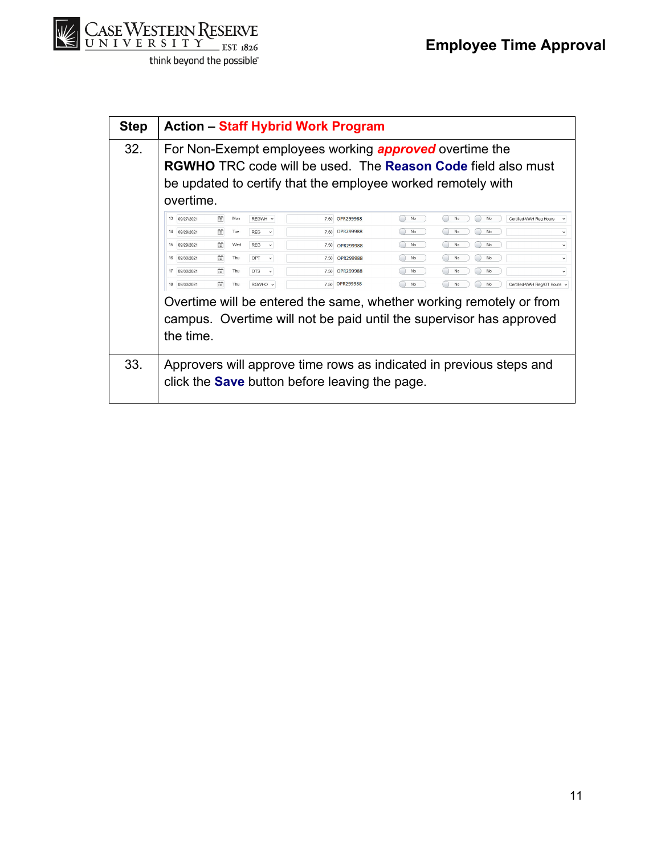

| <b>Step</b> | <b>Action – Staff Hybrid Work Program</b>                                                             |  |  |  |  |
|-------------|-------------------------------------------------------------------------------------------------------|--|--|--|--|
| 32.         | For Non-Exempt employees working <b>approved</b> overtime the                                         |  |  |  |  |
|             | <b>RGWHO</b> TRC code will be used. The <b>Reason Code</b> field also must                            |  |  |  |  |
|             | be updated to certify that the employee worked remotely with                                          |  |  |  |  |
|             | overtime.                                                                                             |  |  |  |  |
|             | 13 09/27/2021<br>曲<br>Mon<br>No<br>No<br>7.50 OPR299988<br>No.<br>REGWH v<br>Certified-WAH Reg Hours  |  |  |  |  |
|             | 曲<br>OPR299988<br>No<br>No<br>14<br>09/28/2021<br>Tue<br><b>REG</b><br>7.50<br>No<br>$\checkmark$     |  |  |  |  |
|             | 曲<br>15 09/29/2021<br>Wed<br>No<br>REG<br>7.50 OPR299988<br>No<br>No.<br>$\checkmark$                 |  |  |  |  |
|             | 曲<br>16<br>09/30/2021<br>Thu<br>OPT<br>7.50 OPR299988<br>No<br>No<br>No                               |  |  |  |  |
|             | 17 09/30/2021<br>曲<br>7.50 OPR299988<br>No<br>Thu<br><b>OTS</b><br>No<br>No<br>$\check{~}$            |  |  |  |  |
|             | 曲<br>7.50 OPR299988<br>18<br>09/30/2021<br>Thu<br>RGWHO v<br>No<br>No<br>Certified-WAH Rea/OT Hours ~ |  |  |  |  |
|             | Overtime will be entered the same, whether working remotely or from                                   |  |  |  |  |
|             | campus. Overtime will not be paid until the supervisor has approved                                   |  |  |  |  |
|             | the time.                                                                                             |  |  |  |  |
|             |                                                                                                       |  |  |  |  |
| 33.         | Approvers will approve time rows as indicated in previous steps and                                   |  |  |  |  |
|             | click the <b>Save</b> button before leaving the page.                                                 |  |  |  |  |
|             |                                                                                                       |  |  |  |  |